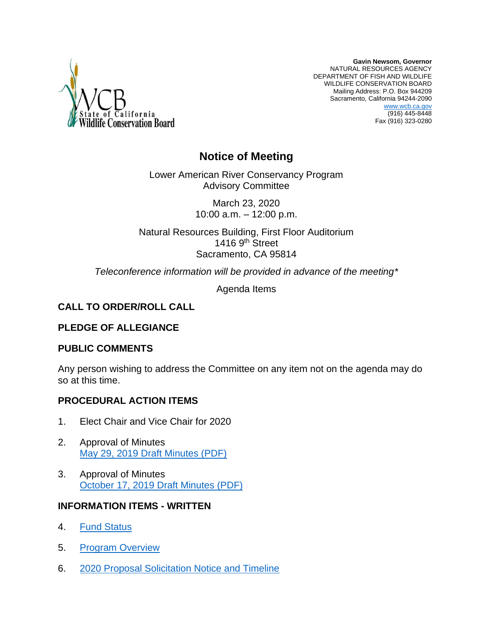

**Gavin Newsom, Governor** NATURAL RESOURCES AGENCY DEPARTMENT OF FISH AND WILDLIFE WILDLIFE CONSERVATION BOARD Mailing Address: P.O. Box 944209 Sacramento, California 94244-2090 [www.wcb.ca.gov](http://www.wcb.ca.gov/) (916) 445-8448 Fax (916) 323-0280

# **Notice of Meeting**

Lower American River Conservancy Program Advisory Committee

> March 23, 2020 10:00 a.m. – 12:00 p.m.

Natural Resources Building, First Floor Auditorium 1416 9th Street Sacramento, CA 95814

*Teleconference information will be provided in advance of the meeting\**

Agenda Items

## **CALL TO ORDER/ROLL CALL**

## **PLEDGE OF ALLEGIANCE**

## **PUBLIC COMMENTS**

Any person wishing to address the Committee on any item not on the agenda may do so at this time.

## **PROCEDURAL ACTION ITEMS**

- 1. Elect Chair and Vice Chair for 2020
- 2. Approval of Minutes [May 29, 2019 Draft Minutes \(PDF\)](http://nrm.dfg.ca.gov/FileHandler.ashx?DocumentID=174583&inline)
- 3. Approval of Minutes [October 17, 2019 Draft Minutes \(PDF\)](http://nrm.dfg.ca.gov/FileHandler.ashx?DocumentID=177807&inline)

## **INFORMATION ITEMS - WRITTEN**

- 4. [Fund Status](http://nrm.dfg.ca.gov/FileHandler.ashx?DocumentID=177814&inline)
- 5. [Program Overview](http://nrm.dfg.ca.gov/FileHandler.ashx?DocumentID=177815&inline)
- 6. [2020 Proposal Solicitation Notice and Timeline](http://nrm.dfg.ca.gov/FileHandler.ashx?DocumentID=177816&inline)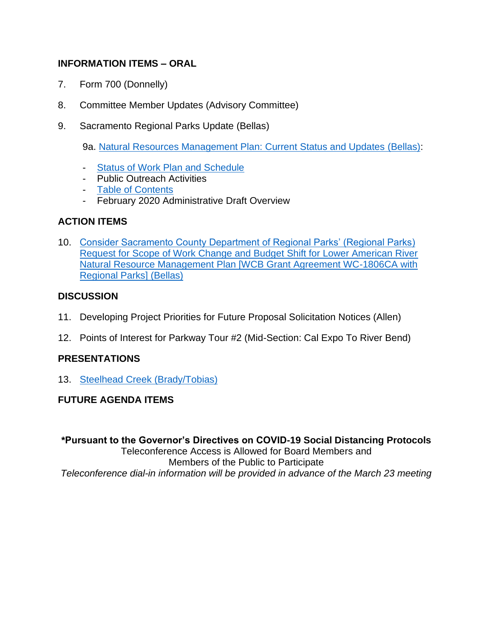## **INFORMATION ITEMS – ORAL**

- 7. Form 700 (Donnelly)
- 8. Committee Member Updates (Advisory Committee)
- 9. Sacramento Regional Parks Update (Bellas)

9a. [Natural Resources Management Plan: Current Status and Updates \(Bellas\):](http://nrm.dfg.ca.gov/FileHandler.ashx?DocumentID=177809&inline)

- **[Status of Work Plan and Schedule](http://nrm.dfg.ca.gov/FileHandler.ashx?DocumentID=177817&inline)**
- Public Outreach Activities
- [Table of Contents](http://nrm.dfg.ca.gov/FileHandler.ashx?DocumentID=177812&inline)
- February 2020 Administrative Draft Overview

## **ACTION ITEMS**

10. [Consider Sacramento County Department of Regional Parks' \(Regional Parks\)](http://nrm.dfg.ca.gov/FileHandler.ashx?DocumentID=177818&inline)  [Request for Scope of Work Change and Budget Shift for Lower American River](http://nrm.dfg.ca.gov/FileHandler.ashx?DocumentID=177818&inline)  [Natural Resource Management Plan \[WCB Grant Agreement WC-1806CA with](http://nrm.dfg.ca.gov/FileHandler.ashx?DocumentID=177818&inline)  [Regional Parks\]](http://nrm.dfg.ca.gov/FileHandler.ashx?DocumentID=177818&inline) (Bellas)

## **DISCUSSION**

- 11. Developing Project Priorities for Future Proposal Solicitation Notices (Allen)
- 12. Points of Interest for Parkway Tour #2 (Mid-Section: Cal Expo To River Bend)

## **PRESENTATIONS**

13. [Steelhead Creek \(Brady/Tobias\)](http://nrm.dfg.ca.gov/FileHandler.ashx?DocumentID=177810&inline)

## **FUTURE AGENDA ITEMS**

**\*Pursuant to the Governor's Directives on COVID-19 Social Distancing Protocols**

Teleconference Access is Allowed for Board Members and Members of the Public to Participate *Teleconference dial-in information will be provided in advance of the March 23 meeting*